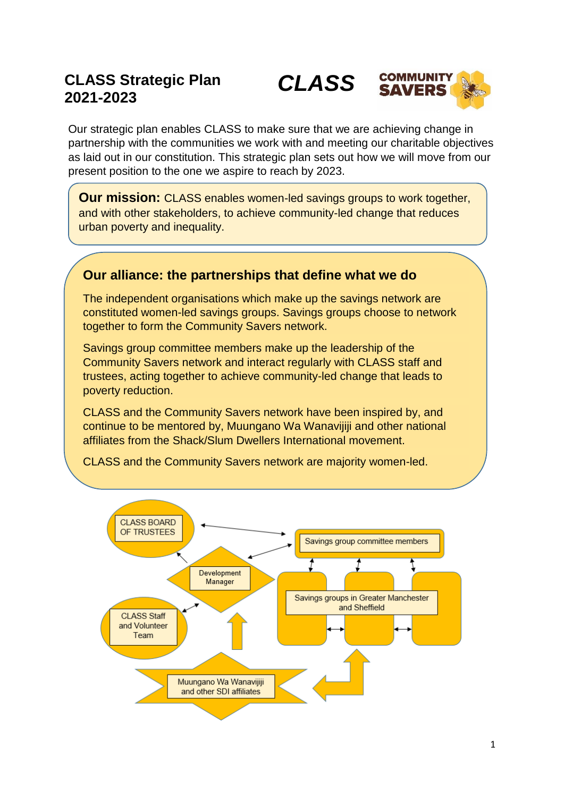# **CLASS Strategic Plan 2021-2023**



Our strategic plan enables CLASS to make sure that we are achieving change in partnership with the communities we work with and meeting our charitable objectives as laid out in our constitution. This strategic plan sets out how we will move from our present position to the one we aspire to reach by 2023.

**Our mission:** CLASS enables women-led savings groups to work together, and with other stakeholders, to achieve community-led change that reduces urban poverty and inequality.

## **Our alliance: the partnerships that define what we do**

The independent organisations which make up the savings network are constituted women-led savings groups. Savings groups choose to network together to form the Community Savers network.

Savings group committee members make up the leadership of the Community Savers network and interact regularly with CLASS staff and trustees, acting together to achieve community-led change that leads to poverty reduction.

CLASS and the Community Savers network have been inspired by, and continue to be mentored by, Muungano Wa Wanavijiji and other national affiliates from the Shack/Slum Dwellers International movement.

CLASS and the Community Savers network are majority women-led.

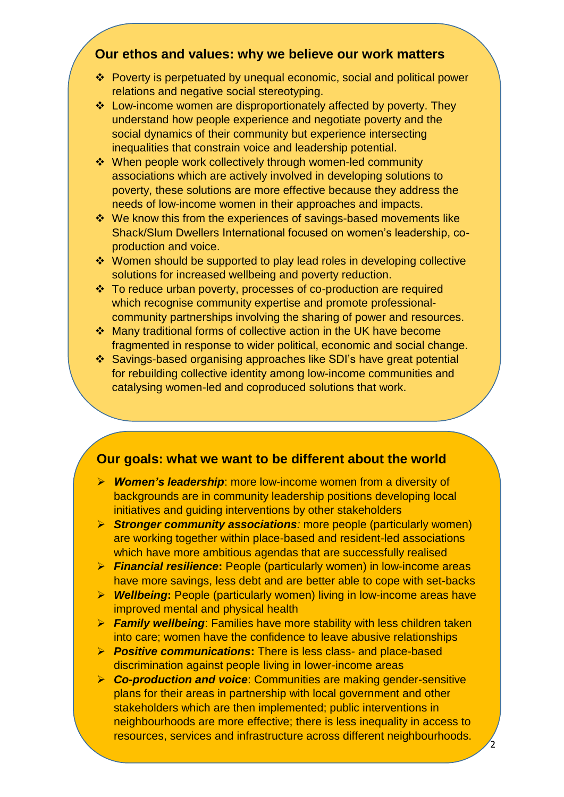### **Our ethos and values: why we believe our work matters**

- Poverty is perpetuated by unequal economic, social and political power relations and negative social stereotyping.
- Low-income women are disproportionately affected by poverty. They understand how people experience and negotiate poverty and the social dynamics of their community but experience intersecting inequalities that constrain voice and leadership potential.
- When people work collectively through women-led community associations which are actively involved in developing solutions to poverty, these solutions are more effective because they address the needs of low-income women in their approaches and impacts.
- We know this from the experiences of savings-based movements like Shack/Slum Dwellers International focused on women's leadership, coproduction and voice.
- ❖ Women should be supported to play lead roles in developing collective solutions for increased wellbeing and poverty reduction.
- To reduce urban poverty, processes of co-production are required which recognise community expertise and promote professionalcommunity partnerships involving the sharing of power and resources.
- Many traditional forms of collective action in the UK have become fragmented in response to wider political, economic and social change.
- Savings-based organising approaches like SDI's have great potential for rebuilding collective identity among low-income communities and catalysing women-led and coproduced solutions that work.

## **Our goals: what we want to be different about the world**

- *Women's leadership*: more low-income women from a diversity of backgrounds are in community leadership positions developing local initiatives and guiding interventions by other stakeholders
- *Stronger community associations:* more people (particularly women) are working together within place-based and resident-led associations which have more ambitious agendas that are successfully realised
- *Financial resilience***:** People (particularly women) in low-income areas have more savings, less debt and are better able to cope with set-backs
- *Wellbeing***:** People (particularly women) living in low-income areas have improved mental and physical health
- *Family wellbeing*: Families have more stability with less children taken into care; women have the confidence to leave abusive relationships
- *Positive communications***:** There is less class- and place-based discrimination against people living in lower-income areas
- *Co-production and voice*: Communities are making gender-sensitive plans for their areas in partnership with local government and other stakeholders which are then implemented; public interventions in neighbourhoods are more effective; there is less inequality in access to resources, services and infrastructure across different neighbourhoods.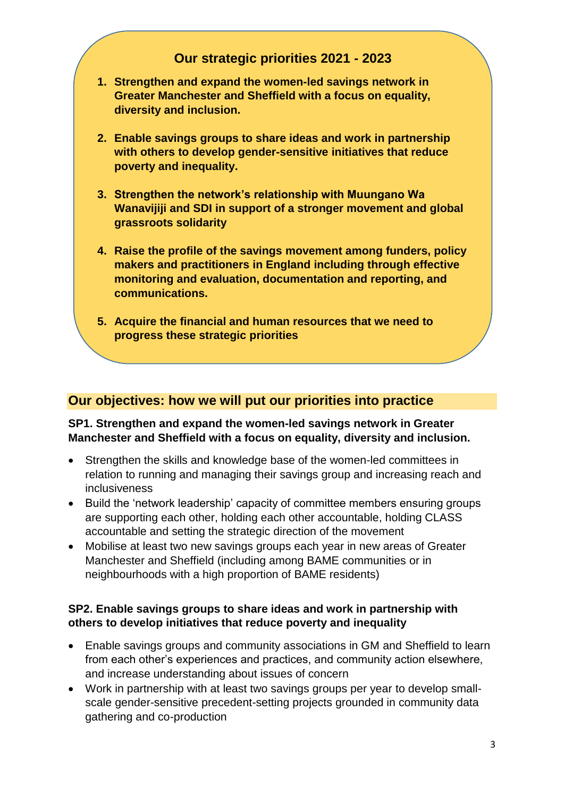## **Our strategic priorities 2021 - 2023**

- **1. Strengthen and expand the women-led savings network in Greater Manchester and Sheffield with a focus on equality, diversity and inclusion.**
- **2. Enable savings groups to share ideas and work in partnership with others to develop gender-sensitive initiatives that reduce poverty and inequality.**
- **3. Strengthen the network's relationship with Muungano Wa Wanavijiji and SDI in support of a stronger movement and global grassroots solidarity**
- **4. Raise the profile of the savings movement among funders, policy makers and practitioners in England including through effective monitoring and evaluation, documentation and reporting, and communications.**
- **5. Acquire the financial and human resources that we need to progress these strategic priorities**

## **Our objectives: how we will put our priorities into practice**

#### **SP1. Strengthen and expand the women-led savings network in Greater Manchester and Sheffield with a focus on equality, diversity and inclusion.**

- Strengthen the skills and knowledge base of the women-led committees in relation to running and managing their savings group and increasing reach and inclusiveness
- Build the 'network leadership' capacity of committee members ensuring groups are supporting each other, holding each other accountable, holding CLASS accountable and setting the strategic direction of the movement
- Mobilise at least two new savings groups each year in new areas of Greater Manchester and Sheffield (including among BAME communities or in neighbourhoods with a high proportion of BAME residents)

#### **SP2. Enable savings groups to share ideas and work in partnership with others to develop initiatives that reduce poverty and inequality**

- Enable savings groups and community associations in GM and Sheffield to learn from each other's experiences and practices, and community action elsewhere, and increase understanding about issues of concern
- Work in partnership with at least two savings groups per year to develop smallscale gender-sensitive precedent-setting projects grounded in community data gathering and co-production